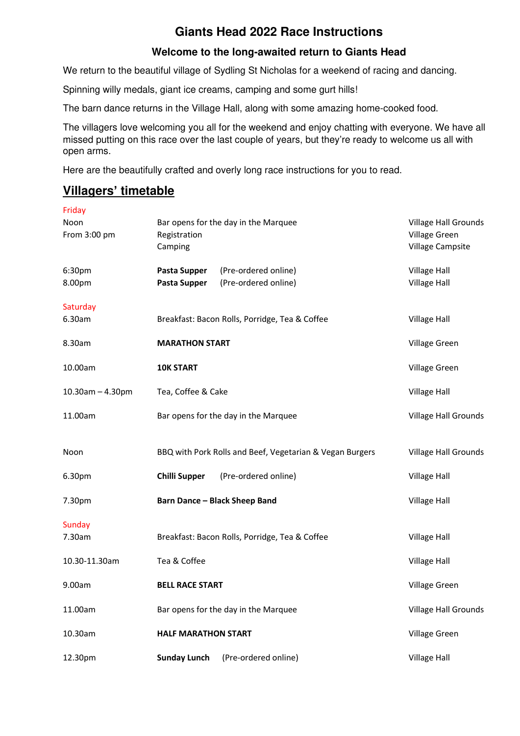# **Giants Head 2022 Race Instructions**

## **Welcome to the long-awaited return to Giants Head**

We return to the beautiful village of Sydling St Nicholas for a weekend of racing and dancing.

Spinning willy medals, giant ice creams, camping and some gurt hills!

The barn dance returns in the Village Hall, along with some amazing home-cooked food.

The villagers love welcoming you all for the weekend and enjoy chatting with everyone. We have all missed putting on this race over the last couple of years, but they're ready to welcome us all with open arms.

Here are the beautifully crafted and overly long race instructions for you to read.

# **Villagers' timetable**

| Friday                 |                                      |                                                          |                                                           |
|------------------------|--------------------------------------|----------------------------------------------------------|-----------------------------------------------------------|
| Noon<br>From 3:00 pm   | Registration<br>Camping              | Bar opens for the day in the Marquee                     | Village Hall Grounds<br>Village Green<br>Village Campsite |
| 6:30pm<br>8.00pm       | <b>Pasta Supper</b><br>Pasta Supper  | (Pre-ordered online)<br>(Pre-ordered online)             | <b>Village Hall</b><br><b>Village Hall</b>                |
| Saturday<br>6.30am     |                                      | Breakfast: Bacon Rolls, Porridge, Tea & Coffee           | Village Hall                                              |
| 8.30am                 | <b>MARATHON START</b>                |                                                          | Village Green                                             |
| 10.00am                | <b>10K START</b>                     |                                                          | Village Green                                             |
| $10.30$ am $- 4.30$ pm | Tea, Coffee & Cake                   |                                                          | <b>Village Hall</b>                                       |
| 11.00am                | Bar opens for the day in the Marquee |                                                          | Village Hall Grounds                                      |
| Noon                   |                                      | BBQ with Pork Rolls and Beef, Vegetarian & Vegan Burgers | Village Hall Grounds                                      |
| 6.30pm                 | <b>Chilli Supper</b>                 | (Pre-ordered online)                                     | <b>Village Hall</b>                                       |
| 7.30pm                 |                                      | <b>Barn Dance - Black Sheep Band</b>                     | <b>Village Hall</b>                                       |
| Sunday<br>7.30am       |                                      | Breakfast: Bacon Rolls, Porridge, Tea & Coffee           | <b>Village Hall</b>                                       |
| 10.30-11.30am          | Tea & Coffee                         |                                                          | <b>Village Hall</b>                                       |
| 9.00am                 | <b>BELL RACE START</b>               |                                                          | Village Green                                             |
| 11.00am                | Bar opens for the day in the Marquee |                                                          | <b>Village Hall Grounds</b>                               |
| 10.30am                | <b>HALF MARATHON START</b>           |                                                          | Village Green                                             |
| 12.30pm                | <b>Sunday Lunch</b>                  | (Pre-ordered online)                                     | <b>Village Hall</b>                                       |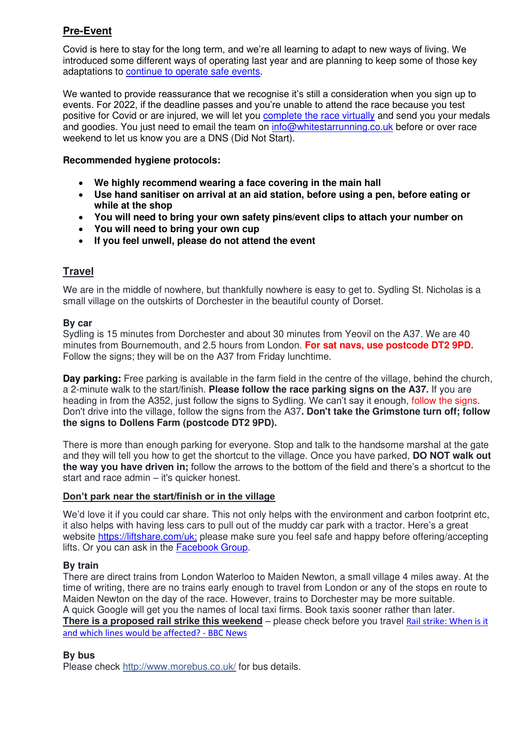## **Pre-Event**

Covid is here to stay for the long term, and we're all learning to adapt to new ways of living. We introduced some different ways of operating last year and are planning to keep some of those key adaptations to [continue to operate safe events.](https://whitestarrunning.co.uk/welcome-back/)

We wanted to provide reassurance that we recognise it's still a consideration when you sign up to events. For 2022, if the deadline passes and you're unable to attend the race because you test positive for Covid or are injured, we will let you [complete the race virtually](https://whitestarrunning.co.uk/covid-and-the-2022-race-season/) and send you your medals and goodies. You just need to email the team on [info@whitestarrunning.co.uk](mailto:info@whitestarrunning.co.uk) before or over race weekend to let us know you are a DNS (Did Not Start).

## **Recommended hygiene protocols:**

- **We highly recommend wearing a face covering in the main hall**
- **Use hand sanitiser on arrival at an aid station, before using a pen, before eating or while at the shop**
- **You will need to bring your own safety pins/event clips to attach your number on**
- **You will need to bring your own cup**
- **If you feel unwell, please do not attend the event**

## **Travel**

We are in the middle of nowhere, but thankfully nowhere is easy to get to. Sydling St. Nicholas is a small village on the outskirts of Dorchester in the beautiful county of Dorset.

## **By car**

Sydling is 15 minutes from Dorchester and about 30 minutes from Yeovil on the A37. We are 40 minutes from Bournemouth, and 2.5 hours from London. **For sat navs, use postcode DT2 9PD.** Follow the signs; they will be on the A37 from Friday lunchtime.

**Day parking:** Free parking is available in the farm field in the centre of the village, behind the church, a 2-minute walk to the start/finish. **Please follow the race parking signs on the A37.** If you are heading in from the A352, just follow the signs to Sydling. We can't say it enough, follow the signs. Don't drive into the village, follow the signs from the A37**. Don't take the Grimstone turn off; follow the signs to Dollens Farm (postcode DT2 9PD).**

There is more than enough parking for everyone. Stop and talk to the handsome marshal at the gate and they will tell you how to get the shortcut to the village. Once you have parked, **DO NOT walk out the way you have driven in;** follow the arrows to the bottom of the field and there's a shortcut to the start and race admin – it's quicker honest.

### **Don't park near the start/finish or in the village**

We'd love it if you could car share. This not only helps with the environment and carbon footprint etc, it also helps with having less cars to pull out of the muddy car park with a tractor. Here's a great website [https://liftshare.com/uk;](https://liftshare.com/uk) please make sure you feel safe and happy before offering/accepting lifts. Or you can ask in the **Facebook Group**.

### **By train**

There are direct trains from London Waterloo to Maiden Newton, a small village 4 miles away. At the time of writing, there are no trains early enough to travel from London or any of the stops en route to Maiden Newton on the day of the race. However, trains to Dorchester may be more suitable. A quick Google will get you the names of local taxi firms. Book taxis sooner rather than later.

**There is a proposed rail strike this weekend** – please check before you travel [Rail strike: When is it](https://www.bbc.co.uk/news/business-61634959)  [and which lines would be affected? - BBC News](https://www.bbc.co.uk/news/business-61634959)

### **By bus**

Please check [http://www.morebus.co.uk/](https://l.facebook.com/l.php?u=http%3A%2F%2Fwww.morebus.co.uk%2F&h=ATOy-hyZJYIISU2FP3zmKkqIcnN6gvn3x_ITvZjomqfI-Y4axt_UtglBftPtP41sqHu9qbi2Jlz-9ZfvQEcfpmZEhEudVv7LvqkLkJg) for bus details.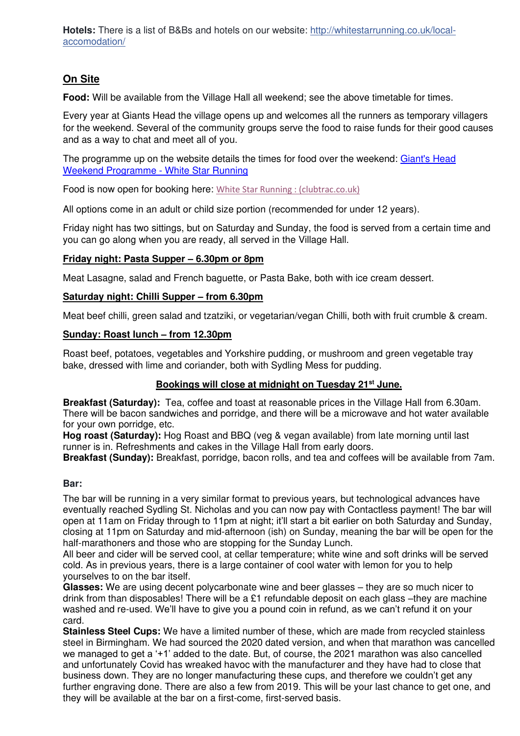Hotels: There is a list of B&Bs and hotels on our website: [http://whitestarrunning.co.uk/local](https://l.facebook.com/l.php?u=http%3A%2F%2Fwhitestarrunning.co.uk%2Flocal-accomodation%2F%3Ffbclid%3DIwAR24kH-1JCB3ZPLj5kiBy5TCK_gmxNofyKuXGjwzY_jXn62sSm-YSR4-rqg&h=AT3znv5hXswtj3ZQyucCBayz3Wzo8mgIDNXaDqXE412GkiN2LlV9EBWMgA4OXds5zE9ufCqWH0oNESYS1MOLJSoN8cyYOlKSAnvsCCI920AWtnIlB2AuIm_LBHePBEjOeksrRlCkYe6FMFQTMnk)[accomodation/](https://l.facebook.com/l.php?u=http%3A%2F%2Fwhitestarrunning.co.uk%2Flocal-accomodation%2F%3Ffbclid%3DIwAR24kH-1JCB3ZPLj5kiBy5TCK_gmxNofyKuXGjwzY_jXn62sSm-YSR4-rqg&h=AT3znv5hXswtj3ZQyucCBayz3Wzo8mgIDNXaDqXE412GkiN2LlV9EBWMgA4OXds5zE9ufCqWH0oNESYS1MOLJSoN8cyYOlKSAnvsCCI920AWtnIlB2AuIm_LBHePBEjOeksrRlCkYe6FMFQTMnk)

## **On Site**

**Food:** Will be available from the Village Hall all weekend; see the above timetable for times.

Every year at Giants Head the village opens up and welcomes all the runners as temporary villagers for the weekend. Several of the community groups serve the food to raise funds for their good causes and as a way to chat and meet all of you.

The programme up on the website details the times for food over the weekend: [Giant's Head](https://whitestarrunning.co.uk/giants-head-weekend-programme/)  [Weekend Programme - White Star Running](https://whitestarrunning.co.uk/giants-head-weekend-programme/) 

Food is now open for booking here: [White Star Running : \(clubtrac.co.uk\)](https://whitestarrunning.clubtrac.co.uk/shops/giants-head-food-2022-199)

All options come in an adult or child size portion (recommended for under 12 years).

Friday night has two sittings, but on Saturday and Sunday, the food is served from a certain time and you can go along when you are ready, all served in the Village Hall.

### **Friday night: Pasta Supper – 6.30pm or 8pm**

Meat Lasagne, salad and French baguette, or Pasta Bake, both with ice cream dessert.

### **Saturday night: Chilli Supper – from 6.30pm**

Meat beef chilli, green salad and tzatziki, or vegetarian/vegan Chilli, both with fruit crumble & cream.

### **Sunday: Roast lunch – from 12.30pm**

Roast beef, potatoes, vegetables and Yorkshire pudding, or mushroom and green vegetable tray bake, dressed with lime and coriander, both with Sydling Mess for pudding.

### **Bookings will close at midnight on Tuesday 21st June.**

**Breakfast (Saturday):** Tea, coffee and toast at reasonable prices in the Village Hall from 6.30am. There will be bacon sandwiches and porridge, and there will be a microwave and hot water available for your own porridge, etc.

**Hog roast (Saturday):** Hog Roast and BBQ (veg & vegan available) from late morning until last runner is in. Refreshments and cakes in the Village Hall from early doors.

**Breakfast (Sunday):** Breakfast, porridge, bacon rolls, and tea and coffees will be available from 7am.

### **Bar:**

The bar will be running in a very similar format to previous years, but technological advances have eventually reached Sydling St. Nicholas and you can now pay with Contactless payment! The bar will open at 11am on Friday through to 11pm at night; it'll start a bit earlier on both Saturday and Sunday, closing at 11pm on Saturday and mid-afternoon (ish) on Sunday, meaning the bar will be open for the half-marathoners and those who are stopping for the Sunday Lunch.

All beer and cider will be served cool, at cellar temperature; white wine and soft drinks will be served cold. As in previous years, there is a large container of cool water with lemon for you to help yourselves to on the bar itself.

**Glasses:** We are using decent polycarbonate wine and beer glasses – they are so much nicer to drink from than disposables! There will be a £1 refundable deposit on each glass –they are machine washed and re-used. We'll have to give you a pound coin in refund, as we can't refund it on your card.

**Stainless Steel Cups:** We have a limited number of these, which are made from recycled stainless steel in Birmingham. We had sourced the 2020 dated version, and when that marathon was cancelled we managed to get a '+1' added to the date. But, of course, the 2021 marathon was also cancelled and unfortunately Covid has wreaked havoc with the manufacturer and they have had to close that business down. They are no longer manufacturing these cups, and therefore we couldn't get any further engraving done. There are also a few from 2019. This will be your last chance to get one, and they will be available at the bar on a first-come, first-served basis.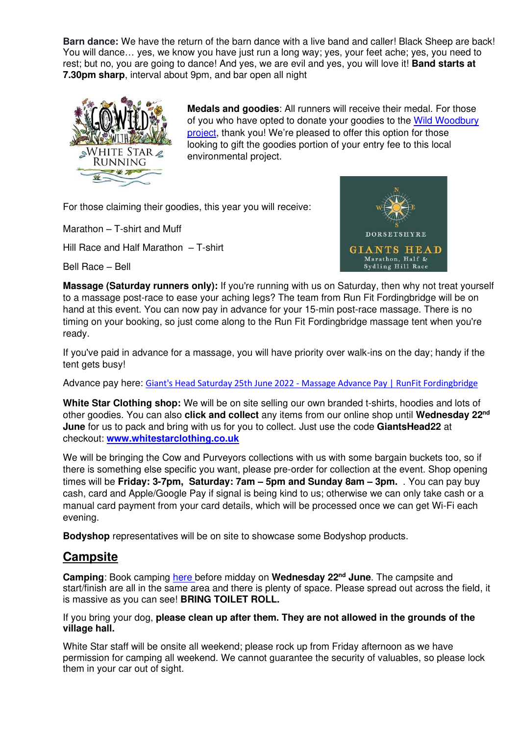**Barn dance:** We have the return of the barn dance with a live band and caller! Black Sheep are back! You will dance… yes, we know you have just run a long way; yes, your feet ache; yes, you need to rest; but no, you are going to dance! And yes, we are evil and yes, you will love it! **Band starts at 7.30pm sharp**, interval about 9pm, and bar open all night



**Medals and goodies**: All runners will receive their medal. For those of you who have opted to donate your goodies to the Wild Woodbury [project,](https://whitestarrunning.co.uk/wild-woodbury/) thank you! We're pleased to offer this option for those looking to gift the goodies portion of your entry fee to this local environmental project.

For those claiming their goodies, this year you will receive:

Marathon – T-shirt and Muff

Hill Race and Half Marathon – T-shirt

Bell Race – Bell



**Massage (Saturday runners only):** If you're running with us on Saturday, then why not treat yourself to a massage post-race to ease your aching legs? The team from Run Fit Fordingbridge will be on hand at this event. You can now pay in advance for your 15-min post-race massage. There is no timing on your booking, so just come along to the Run Fit Fordingbridge massage tent when you're ready.

If you've paid in advance for a massage, you will have priority over walk-ins on the day; handy if the tent gets busy!

Advance pay here: [Giant's Head Saturday 25th June 2022 - Massage Advance Pay | RunFit Fordingbridge](https://www.runfitfordingbridge.co.uk/product-page/giant-s-head-saturday-25th-june-2022-massage-advance-pay)

**White Star Clothing shop:** We will be on site selling our own branded t-shirts, hoodies and lots of other goodies. You can also **click and collect** any items from our online shop until **Wednesday 22nd June** for us to pack and bring with us for you to collect. Just use the code **GiantsHead22** at checkout: **[www.whitestarclothing.co.uk](http://www.whitestarclothing.co.uk/)** 

We will be bringing the Cow and Purveyors collections with us with some bargain buckets too, so if there is something else specific you want, please pre-order for collection at the event. Shop opening times will be **Friday: 3-7pm, Saturday: 7am – 5pm and Sunday 8am – 3pm.** . You can pay buy cash, card and Apple/Google Pay if signal is being kind to us; otherwise we can only take cash or a manual card payment from your card details, which will be processed once we can get Wi-Fi each evening.

**Bodyshop** representatives will be on site to showcase some Bodyshop products.

# **Campsite**

**Camping**: Book camping [here b](https://whitestarrunning.clubtrac.co.uk/e/gh-weekend-7059)efore midday on **Wednesday 22nd June**. The campsite and start/finish are all in the same area and there is plenty of space. Please spread out across the field, it is massive as you can see! **BRING TOILET ROLL.** 

If you bring your dog, **please clean up after them. They are not allowed in the grounds of the village hall.**

White Star staff will be onsite all weekend; please rock up from Friday afternoon as we have permission for camping all weekend. We cannot guarantee the security of valuables, so please lock them in your car out of sight.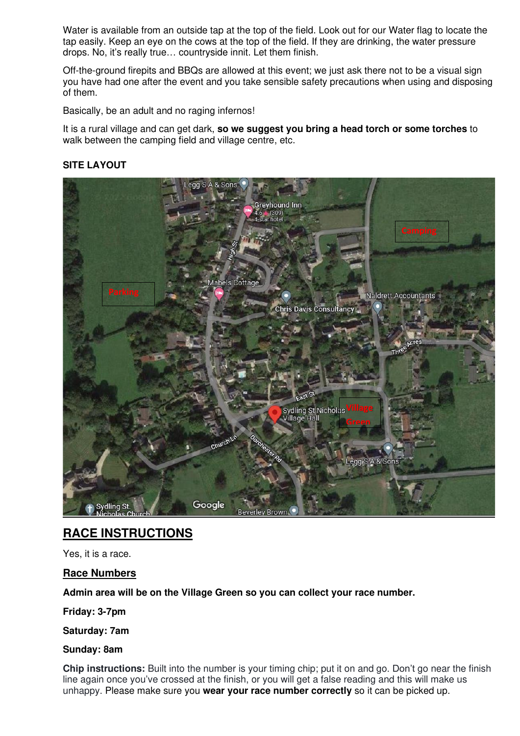Water is available from an outside tap at the top of the field. Look out for our Water flag to locate the tap easily. Keep an eye on the cows at the top of the field. If they are drinking, the water pressure drops. No, it's really true… countryside innit. Let them finish.

Off-the-ground firepits and BBQs are allowed at this event; we just ask there not to be a visual sign you have had one after the event and you take sensible safety precautions when using and disposing of them.

Basically, be an adult and no raging infernos!

It is a rural village and can get dark, **so we suggest you bring a head torch or some torches** to walk between the camping field and village centre, etc.

## **SITE LAYOUT**



## **RACE INSTRUCTIONS**

Yes, it is a race.

**Race Numbers** 

**Admin area will be on the Village Green so you can collect your race number.** 

**Friday: 3-7pm** 

**Saturday: 7am**

### **Sunday: 8am**

**Chip instructions:** Built into the number is your timing chip; put it on and go. Don't go near the finish line again once you've crossed at the finish, or you will get a false reading and this will make us unhappy. Please make sure you **wear your race number correctly** so it can be picked up.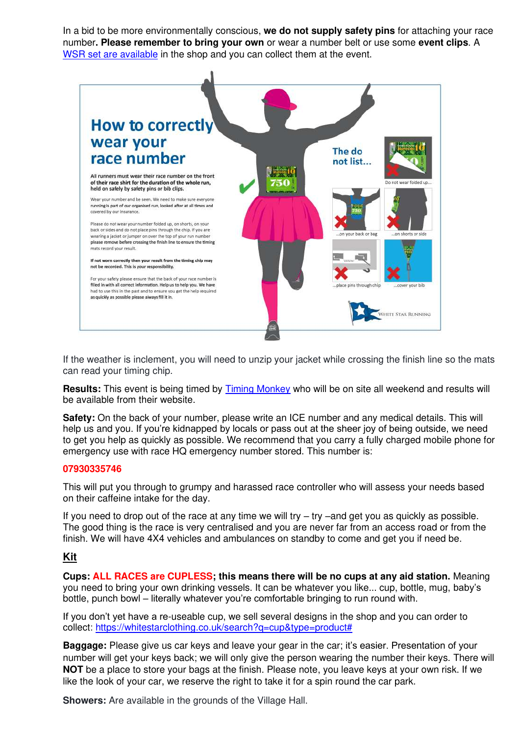In a bid to be more environmentally conscious, **we do not supply safety pins** for attaching your race number**. Please remember to bring your own** or wear a number belt or use some **event clips**. A [WSR set are available](https://whitestarclothing.co.uk/collections/kit-kabbodle/products/4-pack-cow-event-clips) in the shop and you can collect them at the event.



If the weather is inclement, you will need to unzip your jacket while crossing the finish line so the mats can read your timing chip.

**Results:** This event is being timed by [Timing Monkey](https://www.timingmonkey.co.uk/results-list/) who will be on site all weekend and results will be available from their website.

**Safety:** On the back of your number, please write an ICE number and any medical details. This will help us and you. If you're kidnapped by locals or pass out at the sheer joy of being outside, we need to get you help as quickly as possible. We recommend that you carry a fully charged mobile phone for emergency use with race HQ emergency number stored. This number is:

#### **07930335746**

This will put you through to grumpy and harassed race controller who will assess your needs based on their caffeine intake for the day.

If you need to drop out of the race at any time we will try – try –and get you as quickly as possible. The good thing is the race is very centralised and you are never far from an access road or from the finish. We will have 4X4 vehicles and ambulances on standby to come and get you if need be.

### **Kit**

**Cups: ALL RACES are CUPLESS; this means there will be no cups at any aid station.** Meaning you need to bring your own drinking vessels. It can be whatever you like... cup, bottle, mug, baby's bottle, punch bowl – literally whatever you're comfortable bringing to run round with.

If you don't yet have a re-useable cup, we sell several designs in the shop and you can order to collect: [https://whitestarclothing.co.uk/search?q=cup&type=product#](https://whitestarclothing.co.uk/search?q=cup&type=product)

**Baggage:** Please give us car keys and leave your gear in the car; it's easier. Presentation of your number will get your keys back; we will only give the person wearing the number their keys. There will **NOT** be a place to store your bags at the finish. Please note, you leave keys at your own risk. If we like the look of your car, we reserve the right to take it for a spin round the car park.

**Showers:** Are available in the grounds of the Village Hall.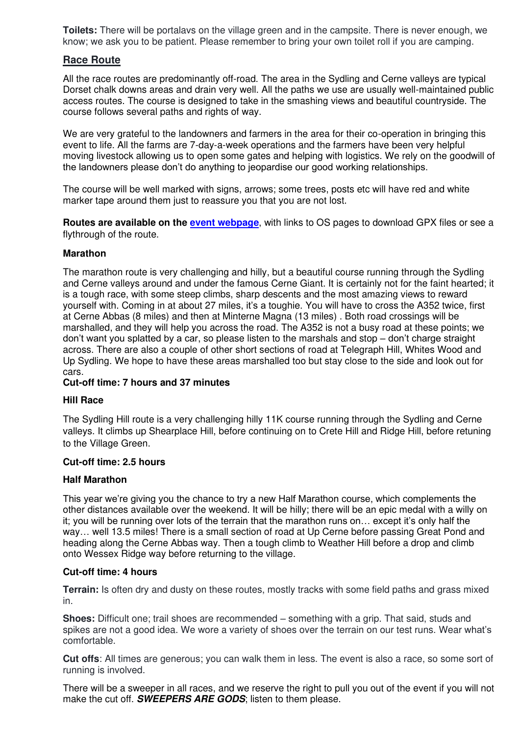**Toilets:** There will be portalavs on the village green and in the campsite. There is never enough, we know; we ask you to be patient. Please remember to bring your own toilet roll if you are camping.

### **Race Route**

All the race routes are predominantly off-road. The area in the Sydling and Cerne valleys are typical Dorset chalk downs areas and drain very well. All the paths we use are usually well-maintained public access routes. The course is designed to take in the smashing views and beautiful countryside. The course follows several paths and rights of way.

We are very grateful to the landowners and farmers in the area for their co-operation in bringing this event to life. All the farms are 7-day-a-week operations and the farmers have been very helpful moving livestock allowing us to open some gates and helping with logistics. We rely on the goodwill of the landowners please don't do anything to jeopardise our good working relationships.

The course will be well marked with signs, arrows; some trees, posts etc will have red and white marker tape around them just to reassure you that you are not lost.

**Routes are available on the [event webpage](https://whitestarrunning.clubtrac.co.uk/e/gh-weekend-7059/route-maps)**, with links to OS pages to download GPX files or see a flythrough of the route.

#### **Marathon**

The marathon route is very challenging and hilly, but a beautiful course running through the Sydling and Cerne valleys around and under the famous Cerne Giant. It is certainly not for the faint hearted; it is a tough race, with some steep climbs, sharp descents and the most amazing views to reward yourself with. Coming in at about 27 miles, it's a toughie. You will have to cross the A352 twice, first at Cerne Abbas (8 miles) and then at Minterne Magna (13 miles) . Both road crossings will be marshalled, and they will help you across the road. The A352 is not a busy road at these points; we don't want you splatted by a car, so please listen to the marshals and stop – don't charge straight across. There are also a couple of other short sections of road at Telegraph Hill, Whites Wood and Up Sydling. We hope to have these areas marshalled too but stay close to the side and look out for cars.

#### **Cut-off time: 7 hours and 37 minutes**

#### **Hill Race**

The Sydling Hill route is a very challenging hilly 11K course running through the Sydling and Cerne valleys. It climbs up Shearplace Hill, before continuing on to Crete Hill and Ridge Hill, before retuning to the Village Green.

#### **Cut-off time: 2.5 hours**

#### **Half Marathon**

This year we're giving you the chance to try a new Half Marathon course, which complements the other distances available over the weekend. It will be hilly; there will be an epic medal with a willy on it; you will be running over lots of the terrain that the marathon runs on… except it's only half the way… well 13.5 miles! There is a small section of road at Up Cerne before passing Great Pond and heading along the Cerne Abbas way. Then a tough climb to Weather Hill before a drop and climb onto Wessex Ridge way before returning to the village.

#### **Cut-off time: 4 hours**

**Terrain:** Is often dry and dusty on these routes, mostly tracks with some field paths and grass mixed in.

**Shoes:** Difficult one; trail shoes are recommended – something with a grip. That said, studs and spikes are not a good idea. We wore a variety of shoes over the terrain on our test runs. Wear what's comfortable.

**Cut offs**: All times are generous; you can walk them in less. The event is also a race, so some sort of running is involved.

There will be a sweeper in all races, and we reserve the right to pull you out of the event if you will not make the cut off. **SWEEPERS ARE GODS**; listen to them please.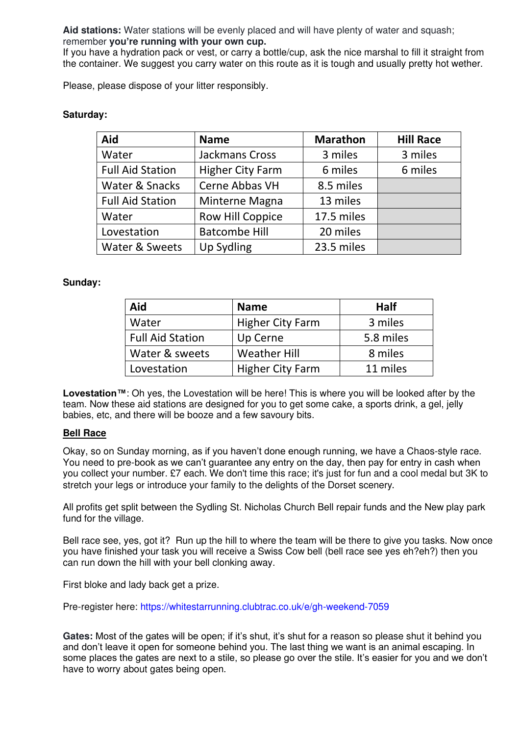**Aid stations:** Water stations will be evenly placed and will have plenty of water and squash; remember **you're running with your own cup.**

If you have a hydration pack or vest, or carry a bottle/cup, ask the nice marshal to fill it straight from the container. We suggest you carry water on this route as it is tough and usually pretty hot wether.

Please, please dispose of your litter responsibly.

### **Saturday:**

| Aid                     | <b>Name</b>             | <b>Marathon</b> | <b>Hill Race</b> |
|-------------------------|-------------------------|-----------------|------------------|
| Water                   | Jackmans Cross          | 3 miles         | 3 miles          |
| <b>Full Aid Station</b> | <b>Higher City Farm</b> | 6 miles         | 6 miles          |
| Water & Snacks          | Cerne Abbas VH          | 8.5 miles       |                  |
| <b>Full Aid Station</b> | Minterne Magna          | 13 miles        |                  |
| Water                   | Row Hill Coppice        | 17.5 miles      |                  |
| Lovestation             | <b>Batcombe Hill</b>    | 20 miles        |                  |
| Water & Sweets          | <b>Up Sydling</b>       | 23.5 miles      |                  |

### **Sunday:**

| Aid                     | <b>Name</b>             | Half      |
|-------------------------|-------------------------|-----------|
| Water                   | <b>Higher City Farm</b> | 3 miles   |
| <b>Full Aid Station</b> | Up Cerne                | 5.8 miles |
| Water & sweets          | <b>Weather Hill</b>     | 8 miles   |
| Lovestation             | <b>Higher City Farm</b> | 11 miles  |

**Lovestation™**: Oh yes, the Lovestation will be here! This is where you will be looked after by the team. Now these aid stations are designed for you to get some cake, a sports drink, a gel, jelly babies, etc, and there will be booze and a few savoury bits.

### **Bell Race**

Okay, so on Sunday morning, as if you haven't done enough running, we have a Chaos-style race. You need to pre-book as we can't guarantee any entry on the day, then pay for entry in cash when you collect your number. £7 each. We don't time this race; it's just for fun and a cool medal but 3K to stretch your legs or introduce your family to the delights of the Dorset scenery.

All profits get split between the Sydling St. Nicholas Church Bell repair funds and the New play park fund for the village.

Bell race see, yes, got it? Run up the hill to where the team will be there to give you tasks. Now once you have finished your task you will receive a Swiss Cow bell (bell race see yes eh?eh?) then you can run down the hill with your bell clonking away.

First bloke and lady back get a prize.

Pre-register here: [https://whitestarrunning.clubtrac.co.uk/e/gh-weekend-7059](https://l.facebook.com/l.php?u=https%3A%2F%2Fwhitestarrunning.clubtrac.co.uk%2Fe%2Fgh-weekend-7059%3Ffbclid%3DIwAR2ByjJf315EtMOrQ2-grfPzHXmh9r7EMfK70sNp7PcU0gIXBW2MAgClcWg&h=AT0_NOXywBQRTedRuWFEwKvS0b634BHck3a5uZN73_ItjRD_gb_iHFtfwGrYVA6DbkXfnIF6YhhgWmmCH30d4jmO8aYUqfFUbU-hx9v5g-I3-woffXQVNkQaG578Ey76RkjHdmiwBmxmyJyvqw&__tn__=-UK-R&c%5b0%5d=AT0RO1OJZkurj0hBlkjoKkVB4TTb0_OVLcnd8vkSGCr0CVSJ8o10Fdvbs07cjOAQstdPxclErcNh9cBPMM30z7GBU0abNZzCs3mU8XgWipUc9hyLC_s-wdBd2kYgs8YxkYIF7P8yEOEA3IHRGWaT5EYEqQOSzuRMHVXph65RBex_LzB2H-UszUCX0CoYARVMTNlqI8x8)

Gates: Most of the gates will be open; if it's shut, it's shut for a reason so please shut it behind you and don't leave it open for someone behind you. The last thing we want is an animal escaping. In some places the gates are next to a stile, so please go over the stile. It's easier for you and we don't have to worry about gates being open.